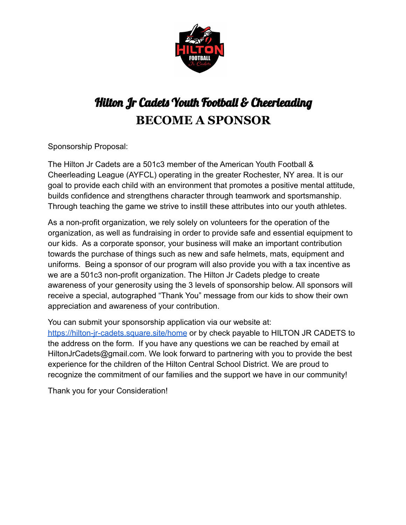

# Hilton Jr Cadets Youth Football & Cheerleading **BECOME A SPONSOR**

Sponsorship Proposal:

The Hilton Jr Cadets are a 501c3 member of the American Youth Football & Cheerleading League (AYFCL) operating in the greater Rochester, NY area. It is our goal to provide each child with an environment that promotes a positive mental attitude, builds confidence and strengthens character through teamwork and sportsmanship. Through teaching the game we strive to instill these attributes into our youth athletes.

As a non-profit organization, we rely solely on volunteers for the operation of the organization, as well as fundraising in order to provide safe and essential equipment to our kids. As a corporate sponsor, your business will make an important contribution towards the purchase of things such as new and safe helmets, mats, equipment and uniforms. Being a sponsor of our program will also provide you with a tax incentive as we are a 501c3 non-profit organization. The Hilton Jr Cadets pledge to create awareness of your generosity using the 3 levels of sponsorship below. All sponsors will receive a special, autographed "Thank You" message from our kids to show their own appreciation and awareness of your contribution.

You can submit your sponsorship application via our website at: <https://hilton-jr-cadets.square.site/home> or by check payable to HILTON JR CADETS to the address on the form. If you have any questions we can be reached by email at HiltonJrCadets@gmail.com. We look forward to partnering with you to provide the best experience for the children of the Hilton Central School District. We are proud to recognize the commitment of our families and the support we have in our community!

Thank you for your Consideration!